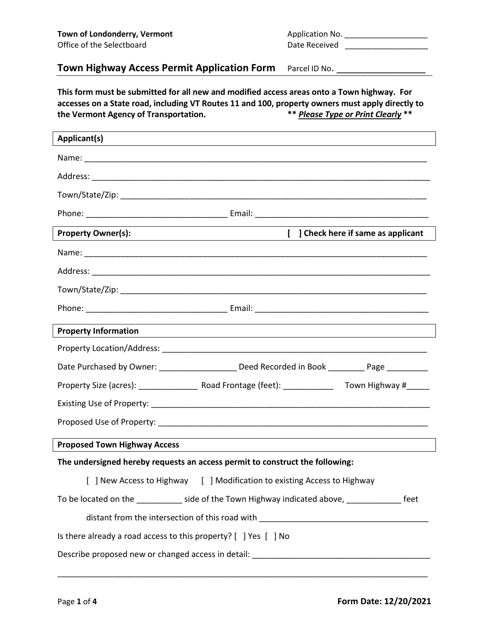| Application No. |  |
|-----------------|--|
| Date Received   |  |

## **Town Highway Access Permit Application Form** Parcel ID No.

**This form must be submitted for all new and modified access areas onto a Town highway. For accesses on a State road, including VT Routes 11 and 100, property owners must apply directly to the Vermont Agency of Transportation.** 

| Applicant(s)<br><u> 1989 - Johann Stoff, amerikansk politiker (* 1908)</u>                     |  |
|------------------------------------------------------------------------------------------------|--|
|                                                                                                |  |
|                                                                                                |  |
|                                                                                                |  |
|                                                                                                |  |
| <b>Property Owner(s):</b><br>[ ] Check here if same as applicant                               |  |
|                                                                                                |  |
|                                                                                                |  |
|                                                                                                |  |
|                                                                                                |  |
| <b>Property Information</b>                                                                    |  |
|                                                                                                |  |
| Date Purchased by Owner: ______________________ Deed Recorded in Book _________ Page _________ |  |
|                                                                                                |  |
|                                                                                                |  |
|                                                                                                |  |
| <b>Proposed Town Highway Access</b>                                                            |  |
| The undersigned hereby requests an access permit to construct the following:                   |  |
| [ ] New Access to Highway [ ] Modification to existing Access to Highway                       |  |
| To be located on the ___________ side of the Town Highway indicated above, ______________ feet |  |
|                                                                                                |  |
| Is there already a road access to this property? [ ] Yes [ ] No                                |  |
|                                                                                                |  |
|                                                                                                |  |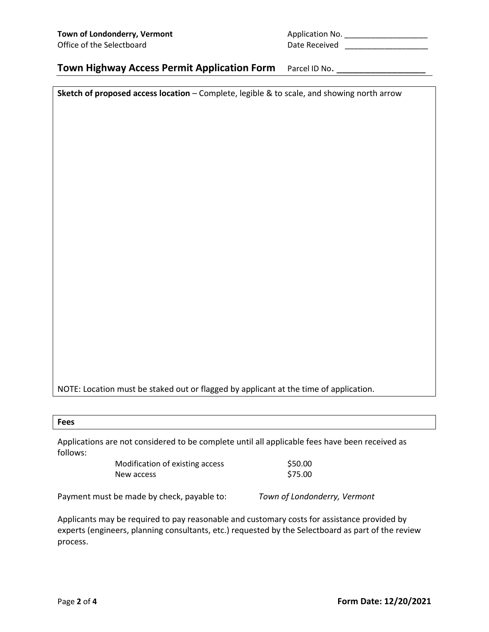| Application No. |  |
|-----------------|--|
| Date Received   |  |

### **Town Highway Access Permit Application Form** Parcel ID No.

**Sketch of proposed access location** – Complete, legible & to scale, and showing north arrow

NOTE: Location must be staked out or flagged by applicant at the time of application.

| -<br>×<br>×<br>v<br>۰.<br>v<br>× |
|----------------------------------|
|----------------------------------|

Applications are not considered to be complete until all applicable fees have been received as follows:

| Modification of existing access | \$50.00 |
|---------------------------------|---------|
| New access                      | \$75.00 |

Payment must be made by check, payable to: *Town of Londonderry, Vermont*

Applicants may be required to pay reasonable and customary costs for assistance provided by experts (engineers, planning consultants, etc.) requested by the Selectboard as part of the review process.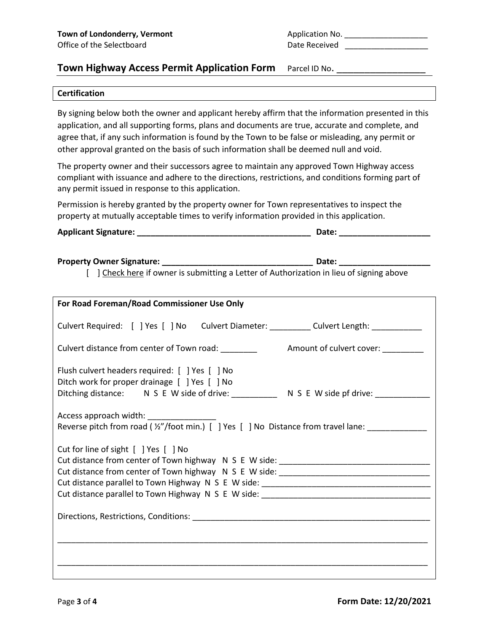| Application No. |  |
|-----------------|--|
| Date Received   |  |

### **Town Highway Access Permit Application Form** Parcel ID No.

#### **Certification**

By signing below both the owner and applicant hereby affirm that the information presented in this application, and all supporting forms, plans and documents are true, accurate and complete, and agree that, if any such information is found by the Town to be false or misleading, any permit or other approval granted on the basis of such information shall be deemed null and void.

The property owner and their successors agree to maintain any approved Town Highway access compliant with issuance and adhere to the directions, restrictions, and conditions forming part of any permit issued in response to this application.

Permission is hereby granted by the property owner for Town representatives to inspect the property at mutually acceptable times to verify information provided in this application.

**Applicant Signature: \_\_\_\_\_\_\_\_\_\_\_\_\_\_\_\_\_\_\_\_\_\_\_\_\_\_\_\_\_\_\_\_\_\_\_\_\_\_ Date: \_\_\_\_\_\_\_\_\_\_\_\_\_\_\_\_\_\_\_\_**

**Property Owner Signature: \_\_\_\_\_\_\_\_\_\_\_\_\_\_\_\_\_\_\_\_\_\_\_\_\_\_\_\_\_\_\_\_\_ Date: \_\_\_\_\_\_\_\_\_\_\_\_\_\_\_\_\_\_\_\_**

[ ] Check here if owner is submitting a Letter of Authorization in lieu of signing above

| For Road Foreman/Road Commissioner Use Only                                                                                                                                               |  |
|-------------------------------------------------------------------------------------------------------------------------------------------------------------------------------------------|--|
| Culvert Required: [ ] Yes [ ] No Culvert Diameter: __________ Culvert Length: __________                                                                                                  |  |
| Culvert distance from center of Town road: ________<br>Amount of culvert cover: _________                                                                                                 |  |
| Flush culvert headers required: [ ] Yes [ ] No<br>Ditch work for proper drainage [ ] Yes [ ] No<br>Ditching distance: N S E W side of drive: __________ N S E W side pf drive: __________ |  |
| Access approach width: __________________<br>Reverse pitch from road ( $\frac{1}{2}$ "/foot min.) [ ] Yes [ ] No Distance from travel lane:                                               |  |
| Cut for line of sight [ ] Yes [ ] No                                                                                                                                                      |  |
|                                                                                                                                                                                           |  |
|                                                                                                                                                                                           |  |